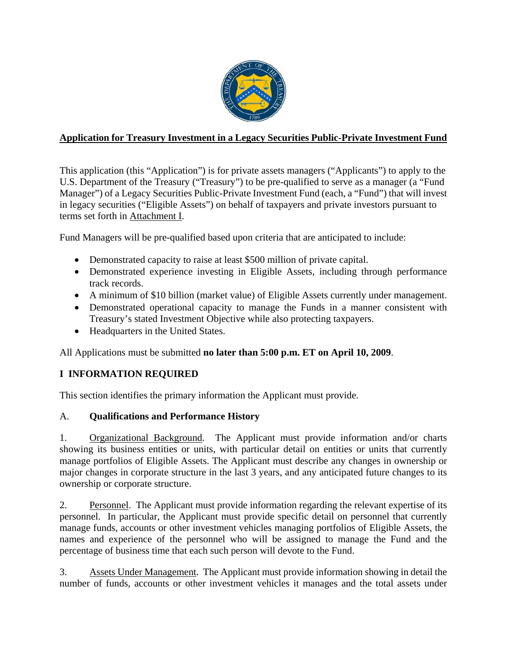

## **Application for Treasury Investment in a Legacy Securities Public-Private Investment Fund**

This application (this "Application") is for private assets managers ("Applicants") to apply to the U.S. Department of the Treasury ("Treasury") to be pre-qualified to serve as a manager (a "Fund Manager") of a Legacy Securities Public-Private Investment Fund (each, a "Fund") that will invest in legacy securities ("Eligible Assets") on behalf of taxpayers and private investors pursuant to terms set forth in Attachment I.

Fund Managers will be pre-qualified based upon criteria that are anticipated to include:

- Demonstrated capacity to raise at least \$500 million of private capital.
- Demonstrated experience investing in Eligible Assets, including through performance track records.
- A minimum of \$10 billion (market value) of Eligible Assets currently under management.
- Demonstrated operational capacity to manage the Funds in a manner consistent with Treasury's stated Investment Objective while also protecting taxpayers.
- Headquarters in the United States.

All Applications must be submitted **no later than 5:00 p.m. ET on April 10, 2009**.

## **I INFORMATION REQUIRED**

This section identifies the primary information the Applicant must provide.

#### A. **Qualifications and Performance History**

1. Organizational Background. The Applicant must provide information and/or charts showing its business entities or units, with particular detail on entities or units that currently manage portfolios of Eligible Assets. The Applicant must describe any changes in ownership or major changes in corporate structure in the last 3 years, and any anticipated future changes to its ownership or corporate structure.

2. Personnel. The Applicant must provide information regarding the relevant expertise of its personnel. In particular, the Applicant must provide specific detail on personnel that currently manage funds, accounts or other investment vehicles managing portfolios of Eligible Assets, the names and experience of the personnel who will be assigned to manage the Fund and the percentage of business time that each such person will devote to the Fund.

3. Assets Under Management. The Applicant must provide information showing in detail the number of funds, accounts or other investment vehicles it manages and the total assets under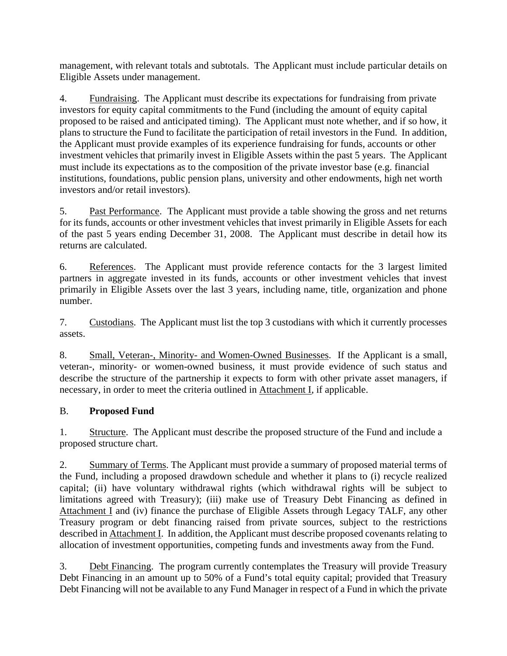management, with relevant totals and subtotals. The Applicant must include particular details on Eligible Assets under management.

4. Eundraising. The Applicant must describe its expectations for fundraising from private investors for equity capital commitments to the Fund (including the amount of equity capital proposed to be raised and anticipated timing). The Applicant must note whether, and if so how, it plans to structure the Fund to facilitate the participation of retail investors in the Fund. In addition, the Applicant must provide examples of its experience fundraising for funds, accounts or other investment vehicles that primarily invest in Eligible Assets within the past 5 years. The Applicant must include its expectations as to the composition of the private investor base (e.g. financial institutions, foundations, public pension plans, university and other endowments, high net worth investors and/or retail investors).

5. Past Performance. The Applicant must provide a table showing the gross and net returns for its funds, accounts or other investment vehicles that invest primarily in Eligible Assets for each of the past 5 years ending December 31, 2008. The Applicant must describe in detail how its returns are calculated.

6. References. The Applicant must provide reference contacts for the 3 largest limited partners in aggregate invested in its funds, accounts or other investment vehicles that invest primarily in Eligible Assets over the last 3 years, including name, title, organization and phone number.

7. Custodians. The Applicant must list the top 3 custodians with which it currently processes assets.

8. Small, Veteran-, Minority- and Women-Owned Businesses. If the Applicant is a small, veteran-, minority- or women-owned business, it must provide evidence of such status and describe the structure of the partnership it expects to form with other private asset managers, if necessary, in order to meet the criteria outlined in Attachment I, if applicable.

## B. **Proposed Fund**

1. Structure. The Applicant must describe the proposed structure of the Fund and include a proposed structure chart.

2. Summary of Terms. The Applicant must provide a summary of proposed material terms of the Fund, including a proposed drawdown schedule and whether it plans to (i) recycle realized capital; (ii) have voluntary withdrawal rights (which withdrawal rights will be subject to limitations agreed with Treasury); (iii) make use of Treasury Debt Financing as defined in Attachment I and (iv) finance the purchase of Eligible Assets through Legacy TALF, any other Treasury program or debt financing raised from private sources, subject to the restrictions described in Attachment I. In addition, the Applicant must describe proposed covenants relating to allocation of investment opportunities, competing funds and investments away from the Fund.

3. Debt Financing. The program currently contemplates the Treasury will provide Treasury Debt Financing in an amount up to 50% of a Fund's total equity capital; provided that Treasury Debt Financing will not be available to any Fund Manager in respect of a Fund in which the private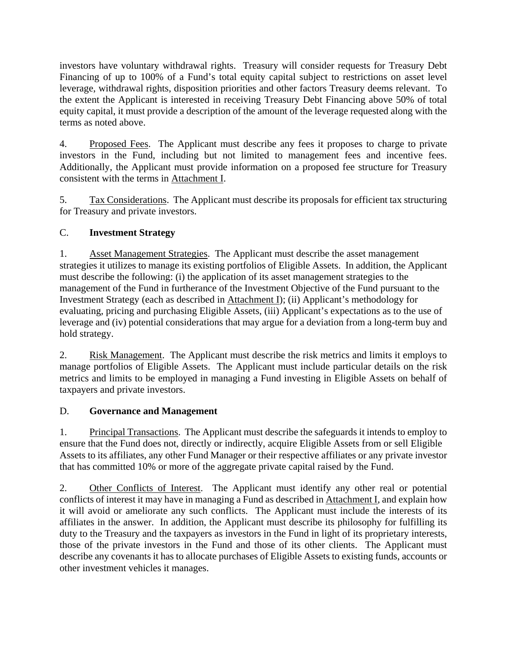investors have voluntary withdrawal rights. Treasury will consider requests for Treasury Debt Financing of up to 100% of a Fund's total equity capital subject to restrictions on asset level leverage, withdrawal rights, disposition priorities and other factors Treasury deems relevant. To the extent the Applicant is interested in receiving Treasury Debt Financing above 50% of total equity capital, it must provide a description of the amount of the leverage requested along with the terms as noted above.

4. Proposed Fees. The Applicant must describe any fees it proposes to charge to private investors in the Fund, including but not limited to management fees and incentive fees. Additionally, the Applicant must provide information on a proposed fee structure for Treasury consistent with the terms in Attachment I.

5. Tax Considerations. The Applicant must describe its proposals for efficient tax structuring for Treasury and private investors.

## C. **Investment Strategy**

1. Asset Management Strategies. The Applicant must describe the asset management strategies it utilizes to manage its existing portfolios of Eligible Assets. In addition, the Applicant must describe the following: (i) the application of its asset management strategies to the management of the Fund in furtherance of the Investment Objective of the Fund pursuant to the Investment Strategy (each as described in Attachment I); (ii) Applicant's methodology for evaluating, pricing and purchasing Eligible Assets, (iii) Applicant's expectations as to the use of leverage and (iv) potential considerations that may argue for a deviation from a long-term buy and hold strategy.

2. Risk Management. The Applicant must describe the risk metrics and limits it employs to manage portfolios of Eligible Assets. The Applicant must include particular details on the risk metrics and limits to be employed in managing a Fund investing in Eligible Assets on behalf of taxpayers and private investors.

## D. **Governance and Management**

1. Principal Transactions. The Applicant must describe the safeguards it intends to employ to ensure that the Fund does not, directly or indirectly, acquire Eligible Assets from or sell Eligible Assets to its affiliates, any other Fund Manager or their respective affiliates or any private investor that has committed 10% or more of the aggregate private capital raised by the Fund.

2. Other Conflicts of Interest. The Applicant must identify any other real or potential conflicts of interest it may have in managing a Fund as described in Attachment I, and explain how it will avoid or ameliorate any such conflicts. The Applicant must include the interests of its affiliates in the answer. In addition, the Applicant must describe its philosophy for fulfilling its duty to the Treasury and the taxpayers as investors in the Fund in light of its proprietary interests, those of the private investors in the Fund and those of its other clients. The Applicant must describe any covenants it has to allocate purchases of Eligible Assets to existing funds, accounts or other investment vehicles it manages.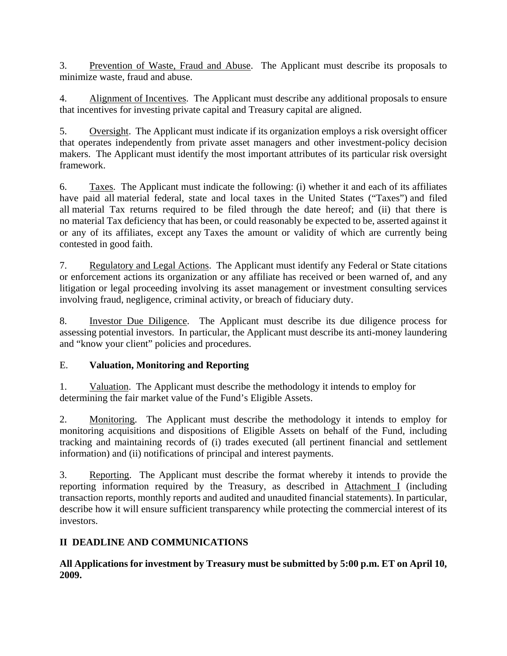3. Prevention of Waste, Fraud and Abuse. The Applicant must describe its proposals to minimize waste, fraud and abuse.

4. Alignment of Incentives. The Applicant must describe any additional proposals to ensure that incentives for investing private capital and Treasury capital are aligned.

5. Oversight. The Applicant must indicate if its organization employs a risk oversight officer that operates independently from private asset managers and other investment-policy decision makers. The Applicant must identify the most important attributes of its particular risk oversight framework.

6. Taxes. The Applicant must indicate the following: (i) whether it and each of its affiliates have paid all material federal, state and local taxes in the United States ("Taxes") and filed all material Tax returns required to be filed through the date hereof; and (ii) that there is no material Tax deficiency that has been, or could reasonably be expected to be, asserted against it or any of its affiliates, except any Taxes the amount or validity of which are currently being contested in good faith.

7. Regulatory and Legal Actions. The Applicant must identify any Federal or State citations or enforcement actions its organization or any affiliate has received or been warned of, and any litigation or legal proceeding involving its asset management or investment consulting services involving fraud, negligence, criminal activity, or breach of fiduciary duty.

8. Investor Due Diligence. The Applicant must describe its due diligence process for assessing potential investors. In particular, the Applicant must describe its anti-money laundering and "know your client" policies and procedures.

## E. **Valuation, Monitoring and Reporting**

1. Valuation. The Applicant must describe the methodology it intends to employ for determining the fair market value of the Fund's Eligible Assets.

2. Monitoring. The Applicant must describe the methodology it intends to employ for monitoring acquisitions and dispositions of Eligible Assets on behalf of the Fund, including tracking and maintaining records of (i) trades executed (all pertinent financial and settlement information) and (ii) notifications of principal and interest payments.

3. Reporting. The Applicant must describe the format whereby it intends to provide the reporting information required by the Treasury, as described in Attachment I (including transaction reports, monthly reports and audited and unaudited financial statements). In particular, describe how it will ensure sufficient transparency while protecting the commercial interest of its investors.

## **II DEADLINE AND COMMUNICATIONS**

**All Applications for investment by Treasury must be submitted by 5:00 p.m. ET on April 10, 2009.**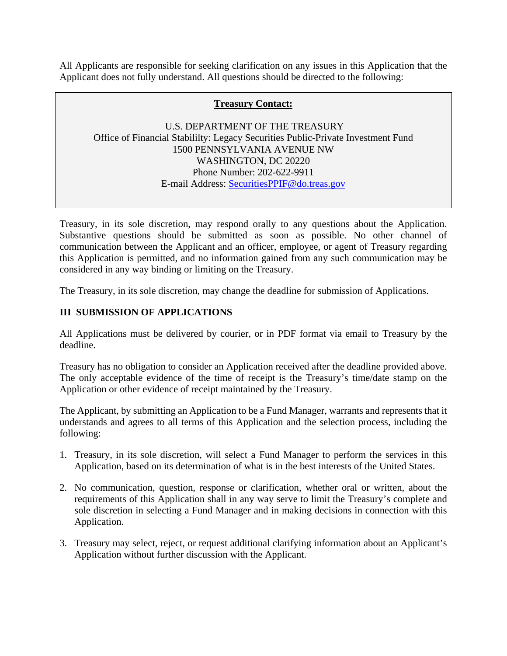All Applicants are responsible for seeking clarification on any issues in this Application that the Applicant does not fully understand. All questions should be directed to the following:

#### **Treasury Contact:**

 U.S. DEPARTMENT OF THE TREASURY Office of Financial Stabililty: Legacy Securities Public-Private Investment Fund 1500 PENNSYLVANIA AVENUE NW WASHINGTON, DC 20220 Phone Number: 202-622-9911 E-mail Address: SecuritiesPPIF@do.treas.gov

Treasury, in its sole discretion, may respond orally to any questions about the Application. Substantive questions should be submitted as soon as possible. No other channel of communication between the Applicant and an officer, employee, or agent of Treasury regarding this Application is permitted, and no information gained from any such communication may be considered in any way binding or limiting on the Treasury.

The Treasury, in its sole discretion, may change the deadline for submission of Applications.

### **III SUBMISSION OF APPLICATIONS**

All Applications must be delivered by courier, or in PDF format via email to Treasury by the deadline.

Treasury has no obligation to consider an Application received after the deadline provided above. The only acceptable evidence of the time of receipt is the Treasury's time/date stamp on the Application or other evidence of receipt maintained by the Treasury.

The Applicant, by submitting an Application to be a Fund Manager, warrants and represents that it understands and agrees to all terms of this Application and the selection process, including the following:

- 1. Treasury, in its sole discretion, will select a Fund Manager to perform the services in this Application, based on its determination of what is in the best interests of the United States.
- 2. No communication, question, response or clarification, whether oral or written, about the requirements of this Application shall in any way serve to limit the Treasury's complete and sole discretion in selecting a Fund Manager and in making decisions in connection with this Application.
- 3. Treasury may select, reject, or request additional clarifying information about an Applicant's Application without further discussion with the Applicant.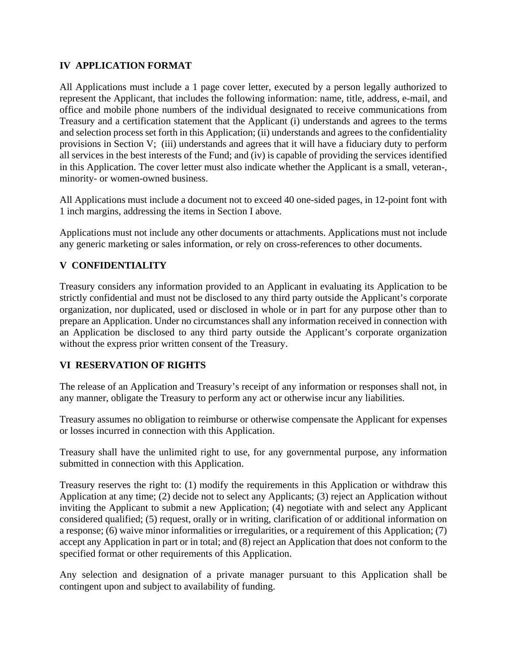#### **IV APPLICATION FORMAT**

All Applications must include a 1 page cover letter, executed by a person legally authorized to represent the Applicant, that includes the following information: name, title, address, e-mail, and office and mobile phone numbers of the individual designated to receive communications from Treasury and a certification statement that the Applicant (i) understands and agrees to the terms and selection process set forth in this Application; (ii) understands and agrees to the confidentiality provisions in Section V; (iii) understands and agrees that it will have a fiduciary duty to perform all services in the best interests of the Fund; and (iv) is capable of providing the services identified in this Application. The cover letter must also indicate whether the Applicant is a small, veteran-, minority- or women-owned business.

All Applications must include a document not to exceed 40 one-sided pages, in 12-point font with 1 inch margins, addressing the items in Section I above.

Applications must not include any other documents or attachments. Applications must not include any generic marketing or sales information, or rely on cross-references to other documents.

### **V CONFIDENTIALITY**

Treasury considers any information provided to an Applicant in evaluating its Application to be strictly confidential and must not be disclosed to any third party outside the Applicant's corporate organization, nor duplicated, used or disclosed in whole or in part for any purpose other than to prepare an Application. Under no circumstances shall any information received in connection with an Application be disclosed to any third party outside the Applicant's corporate organization without the express prior written consent of the Treasury.

#### **VI RESERVATION OF RIGHTS**

The release of an Application and Treasury's receipt of any information or responses shall not, in any manner, obligate the Treasury to perform any act or otherwise incur any liabilities.

Treasury assumes no obligation to reimburse or otherwise compensate the Applicant for expenses or losses incurred in connection with this Application.

Treasury shall have the unlimited right to use, for any governmental purpose, any information submitted in connection with this Application.

Treasury reserves the right to: (1) modify the requirements in this Application or withdraw this Application at any time; (2) decide not to select any Applicants; (3) reject an Application without inviting the Applicant to submit a new Application; (4) negotiate with and select any Applicant considered qualified; (5) request, orally or in writing, clarification of or additional information on a response; (6) waive minor informalities or irregularities, or a requirement of this Application; (7) accept any Application in part or in total; and (8) reject an Application that does not conform to the specified format or other requirements of this Application.

Any selection and designation of a private manager pursuant to this Application shall be contingent upon and subject to availability of funding.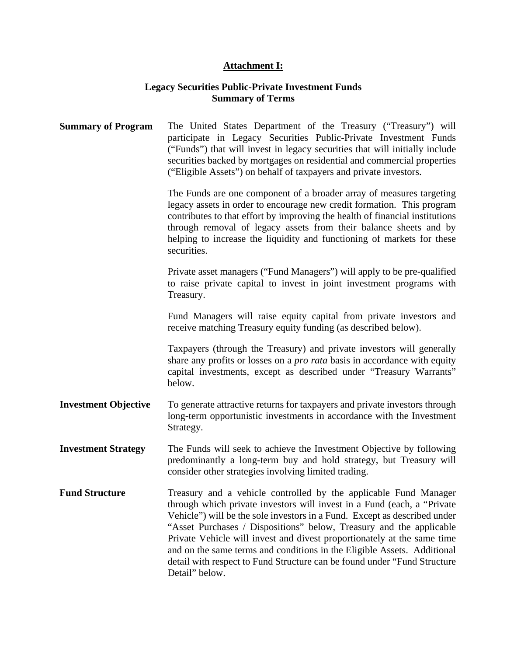# **Attachment I:**

## **Legacy Securities Public-Private Investment Funds Summary of Terms**

| <b>Summary of Program</b>   | The United States Department of the Treasury ("Treasury") will<br>participate in Legacy Securities Public-Private Investment Funds<br>("Funds") that will invest in legacy securities that will initially include<br>securities backed by mortgages on residential and commercial properties<br>("Eligible Assets") on behalf of taxpayers and private investors.                                                                                                                                                                                     |
|-----------------------------|-------------------------------------------------------------------------------------------------------------------------------------------------------------------------------------------------------------------------------------------------------------------------------------------------------------------------------------------------------------------------------------------------------------------------------------------------------------------------------------------------------------------------------------------------------|
|                             | The Funds are one component of a broader array of measures targeting<br>legacy assets in order to encourage new credit formation. This program<br>contributes to that effort by improving the health of financial institutions<br>through removal of legacy assets from their balance sheets and by<br>helping to increase the liquidity and functioning of markets for these<br>securities.                                                                                                                                                          |
|                             | Private asset managers ("Fund Managers") will apply to be pre-qualified<br>to raise private capital to invest in joint investment programs with<br>Treasury.                                                                                                                                                                                                                                                                                                                                                                                          |
|                             | Fund Managers will raise equity capital from private investors and<br>receive matching Treasury equity funding (as described below).                                                                                                                                                                                                                                                                                                                                                                                                                  |
|                             | Taxpayers (through the Treasury) and private investors will generally<br>share any profits or losses on a <i>pro rata</i> basis in accordance with equity<br>capital investments, except as described under "Treasury Warrants"<br>below.                                                                                                                                                                                                                                                                                                             |
| <b>Investment Objective</b> | To generate attractive returns for taxpayers and private investors through<br>long-term opportunistic investments in accordance with the Investment<br>Strategy.                                                                                                                                                                                                                                                                                                                                                                                      |
| <b>Investment Strategy</b>  | The Funds will seek to achieve the Investment Objective by following<br>predominantly a long-term buy and hold strategy, but Treasury will<br>consider other strategies involving limited trading.                                                                                                                                                                                                                                                                                                                                                    |
| <b>Fund Structure</b>       | Treasury and a vehicle controlled by the applicable Fund Manager<br>through which private investors will invest in a Fund (each, a "Private"<br>Vehicle") will be the sole investors in a Fund. Except as described under<br>"Asset Purchases / Dispositions" below, Treasury and the applicable<br>Private Vehicle will invest and divest proportionately at the same time<br>and on the same terms and conditions in the Eligible Assets. Additional<br>detail with respect to Fund Structure can be found under "Fund Structure"<br>Detail" below. |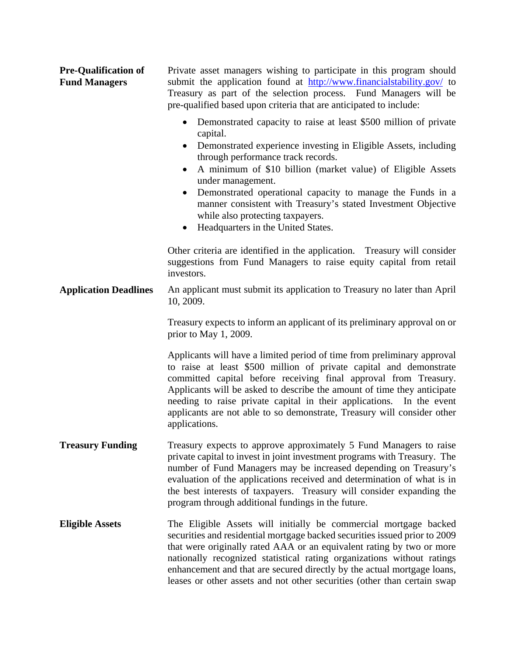| <b>Pre-Qualification of</b><br><b>Fund Managers</b> | Private asset managers wishing to participate in this program should<br>submit the application found at http://www.financialstability.gov/ to<br>Treasury as part of the selection process. Fund Managers will be<br>pre-qualified based upon criteria that are anticipated to include:<br>Demonstrated capacity to raise at least \$500 million of private                                                                                                      |
|-----------------------------------------------------|------------------------------------------------------------------------------------------------------------------------------------------------------------------------------------------------------------------------------------------------------------------------------------------------------------------------------------------------------------------------------------------------------------------------------------------------------------------|
|                                                     | capital.<br>Demonstrated experience investing in Eligible Assets, including<br>through performance track records.<br>A minimum of \$10 billion (market value) of Eligible Assets<br>$\bullet$<br>under management.<br>Demonstrated operational capacity to manage the Funds in a<br>$\bullet$<br>manner consistent with Treasury's stated Investment Objective<br>while also protecting taxpayers.<br>Headquarters in the United States.<br>$\bullet$            |
|                                                     | Other criteria are identified in the application. Treasury will consider<br>suggestions from Fund Managers to raise equity capital from retail<br>investors.                                                                                                                                                                                                                                                                                                     |
| <b>Application Deadlines</b>                        | An applicant must submit its application to Treasury no later than April<br>10, 2009.                                                                                                                                                                                                                                                                                                                                                                            |
|                                                     | Treasury expects to inform an applicant of its preliminary approval on or<br>prior to May 1, 2009.                                                                                                                                                                                                                                                                                                                                                               |
|                                                     | Applicants will have a limited period of time from preliminary approval<br>to raise at least \$500 million of private capital and demonstrate<br>committed capital before receiving final approval from Treasury.<br>Applicants will be asked to describe the amount of time they anticipate<br>needing to raise private capital in their applications. In the event<br>applicants are not able to so demonstrate, Treasury will consider other<br>applications. |
| <b>Treasury Funding</b>                             | Treasury expects to approve approximately 5 Fund Managers to raise<br>private capital to invest in joint investment programs with Treasury. The<br>number of Fund Managers may be increased depending on Treasury's<br>evaluation of the applications received and determination of what is in<br>the best interests of taxpayers. Treasury will consider expanding the<br>program through additional fundings in the future.                                    |
| <b>Eligible Assets</b>                              | The Eligible Assets will initially be commercial mortgage backed<br>securities and residential mortgage backed securities issued prior to 2009<br>that were originally rated AAA or an equivalent rating by two or more<br>nationally recognized statistical rating organizations without ratings<br>enhancement and that are secured directly by the actual mortgage loans,<br>leases or other assets and not other securities (other than certain swap         |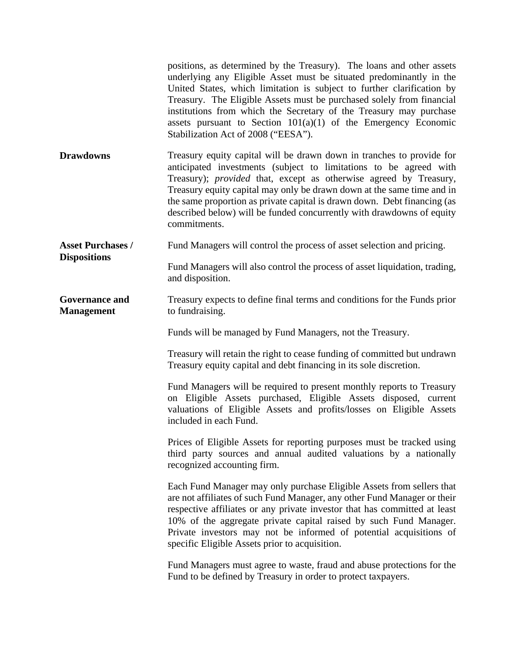|                                                 | positions, as determined by the Treasury). The loans and other assets<br>underlying any Eligible Asset must be situated predominantly in the<br>United States, which limitation is subject to further clarification by<br>Treasury. The Eligible Assets must be purchased solely from financial<br>institutions from which the Secretary of the Treasury may purchase<br>assets pursuant to Section $101(a)(1)$ of the Emergency Economic<br>Stabilization Act of 2008 ("EESA"). |
|-------------------------------------------------|----------------------------------------------------------------------------------------------------------------------------------------------------------------------------------------------------------------------------------------------------------------------------------------------------------------------------------------------------------------------------------------------------------------------------------------------------------------------------------|
| <b>Drawdowns</b>                                | Treasury equity capital will be drawn down in tranches to provide for<br>anticipated investments (subject to limitations to be agreed with<br>Treasury); <i>provided</i> that, except as otherwise agreed by Treasury,<br>Treasury equity capital may only be drawn down at the same time and in<br>the same proportion as private capital is drawn down. Debt financing (as<br>described below) will be funded concurrently with drawdowns of equity<br>commitments.            |
| <b>Asset Purchases /</b><br><b>Dispositions</b> | Fund Managers will control the process of asset selection and pricing.                                                                                                                                                                                                                                                                                                                                                                                                           |
|                                                 | Fund Managers will also control the process of asset liquidation, trading,<br>and disposition.                                                                                                                                                                                                                                                                                                                                                                                   |
| <b>Governance and</b><br><b>Management</b>      | Treasury expects to define final terms and conditions for the Funds prior<br>to fundraising.                                                                                                                                                                                                                                                                                                                                                                                     |
|                                                 | Funds will be managed by Fund Managers, not the Treasury.                                                                                                                                                                                                                                                                                                                                                                                                                        |
|                                                 | Treasury will retain the right to cease funding of committed but undrawn<br>Treasury equity capital and debt financing in its sole discretion.                                                                                                                                                                                                                                                                                                                                   |
|                                                 | Fund Managers will be required to present monthly reports to Treasury<br>on Eligible Assets purchased, Eligible Assets disposed, current<br>valuations of Eligible Assets and profits/losses on Eligible Assets<br>included in each Fund.                                                                                                                                                                                                                                        |
|                                                 |                                                                                                                                                                                                                                                                                                                                                                                                                                                                                  |
|                                                 | Prices of Eligible Assets for reporting purposes must be tracked using<br>third party sources and annual audited valuations by a nationally<br>recognized accounting firm.                                                                                                                                                                                                                                                                                                       |
|                                                 | Each Fund Manager may only purchase Eligible Assets from sellers that<br>are not affiliates of such Fund Manager, any other Fund Manager or their<br>respective affiliates or any private investor that has committed at least<br>10% of the aggregate private capital raised by such Fund Manager.<br>Private investors may not be informed of potential acquisitions of<br>specific Eligible Assets prior to acquisition.                                                      |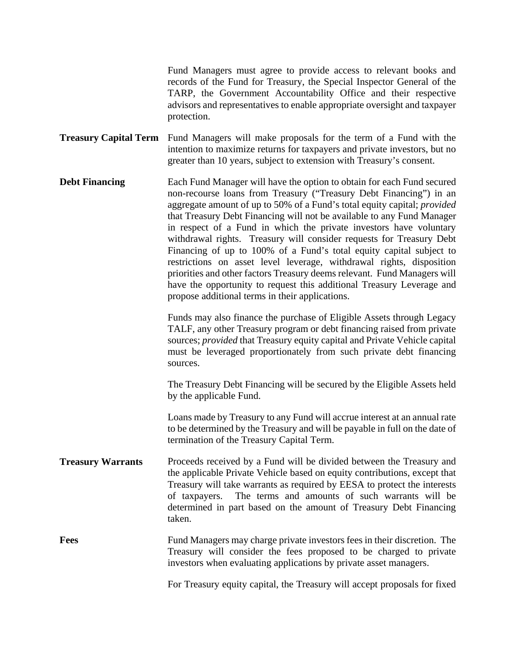Fund Managers must agree to provide access to relevant books and records of the Fund for Treasury, the Special Inspector General of the TARP, the Government Accountability Office and their respective advisors and representatives to enable appropriate oversight and taxpayer protection.

**Treasury Capital Term** Fund Managers will make proposals for the term of a Fund with the intention to maximize returns for taxpayers and private investors, but no greater than 10 years, subject to extension with Treasury's consent.

**Debt Financing** Each Fund Manager will have the option to obtain for each Fund secured non-recourse loans from Treasury ("Treasury Debt Financing") in an aggregate amount of up to 50% of a Fund's total equity capital; *provided* that Treasury Debt Financing will not be available to any Fund Manager in respect of a Fund in which the private investors have voluntary withdrawal rights. Treasury will consider requests for Treasury Debt Financing of up to 100% of a Fund's total equity capital subject to restrictions on asset level leverage, withdrawal rights, disposition priorities and other factors Treasury deems relevant. Fund Managers will have the opportunity to request this additional Treasury Leverage and propose additional terms in their applications.

> Funds may also finance the purchase of Eligible Assets through Legacy TALF, any other Treasury program or debt financing raised from private sources; *provided* that Treasury equity capital and Private Vehicle capital must be leveraged proportionately from such private debt financing sources.

> The Treasury Debt Financing will be secured by the Eligible Assets held by the applicable Fund.

> Loans made by Treasury to any Fund will accrue interest at an annual rate to be determined by the Treasury and will be payable in full on the date of termination of the Treasury Capital Term.

**Treasury Warrants** Proceeds received by a Fund will be divided between the Treasury and the applicable Private Vehicle based on equity contributions, except that Treasury will take warrants as required by EESA to protect the interests of taxpayers. The terms and amounts of such warrants will be determined in part based on the amount of Treasury Debt Financing taken.

**Fees** Fund Managers may charge private investors fees in their discretion. The Treasury will consider the fees proposed to be charged to private investors when evaluating applications by private asset managers.

For Treasury equity capital, the Treasury will accept proposals for fixed